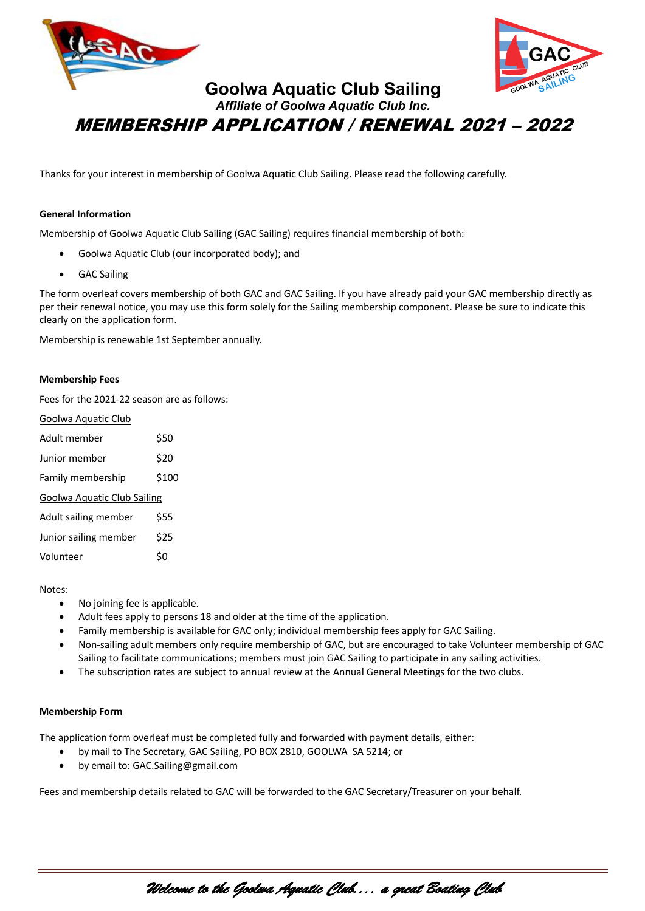



# **Goolwa Aquatic Club Sailing** *Affiliate of Goolwa Aquatic Club Inc.* MEMBERSHIP APPLICATION / RENEWAL 2021 – 2022

Thanks for your interest in membership of Goolwa Aquatic Club Sailing. Please read the following carefully.

# **General Information**

Membership of Goolwa Aquatic Club Sailing (GAC Sailing) requires financial membership of both:

- Goolwa Aquatic Club (our incorporated body); and
- GAC Sailing

The form overleaf covers membership of both GAC and GAC Sailing. If you have already paid your GAC membership directly as per their renewal notice, you may use this form solely for the Sailing membership component. Please be sure to indicate this clearly on the application form.

Membership is renewable 1st September annually.

### **Membership Fees**

Fees for the 2021-22 season are as follows:

| Goolwa Aquatic Club         |       |  |  |  |  |
|-----------------------------|-------|--|--|--|--|
| Adult member                | \$50  |  |  |  |  |
| Junior member               | \$20  |  |  |  |  |
| Family membership           | \$100 |  |  |  |  |
| Goolwa Aquatic Club Sailing |       |  |  |  |  |
| Adult sailing member        | \$55  |  |  |  |  |
| Junior sailing member       | \$25  |  |  |  |  |
| Volunteer                   |       |  |  |  |  |

#### Notes:

- No joining fee is applicable.
- Adult fees apply to persons 18 and older at the time of the application.
- Family membership is available for GAC only; individual membership fees apply for GAC Sailing.
- Non-sailing adult members only require membership of GAC, but are encouraged to take Volunteer membership of GAC Sailing to facilitate communications; members must join GAC Sailing to participate in any sailing activities.
- The subscription rates are subject to annual review at the Annual General Meetings for the two clubs.

## **Membership Form**

The application form overleaf must be completed fully and forwarded with payment details, either:

- by mail to The Secretary, GAC Sailing, PO BOX 2810, GOOLWA SA 5214; or
- by email to: GAC.Sailing@gmail.com

Fees and membership details related to GAC will be forwarded to the GAC Secretary/Treasurer on your behalf.

*Welcome to the Goolwa Aquatic Club.... a great Boating Club*